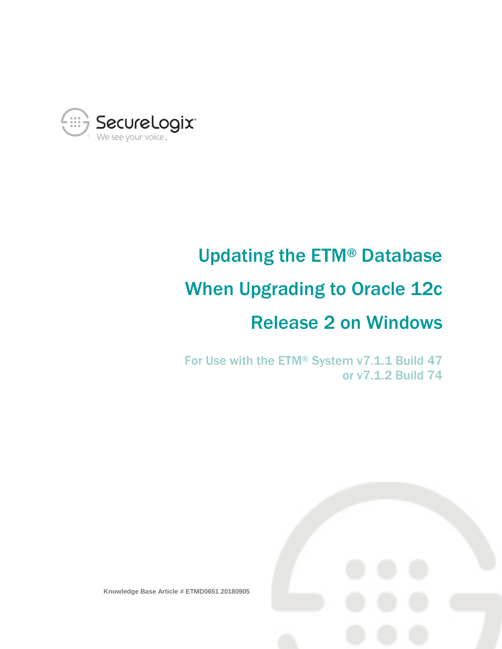

# Updating the ETM® Database When Upgrading to Oracle 12c Release 2 on Windows

For Use with the ETM® System v7.1.1 Build 47 or v7.1.2 Build 74



**Knowledge Base Article # ETMD0651 20180905**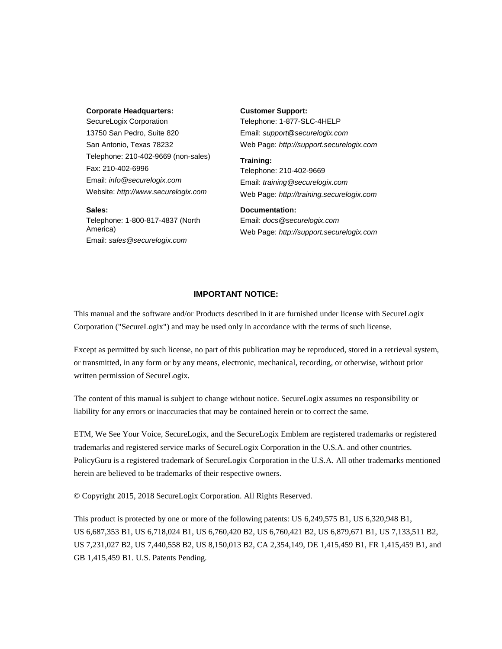### **Corporate Headquarters:**

SecureLogix Corporation 13750 San Pedro, Suite 820 San Antonio, Texas 78232 Telephone: 210-402-9669 (non-sales) Fax: 210-402-6996 Email: *info@securelogix.com* Website: *http://www.securelogix.com*

#### **Sales:**

Telephone: 1-800-817-4837 (North America) Email: *sales@securelogix.com*

#### **Customer Support:**

Telephone: 1-877-SLC-4HELP Email: *support@securelogix.com* Web Page: *http://support.securelogix.com*

### **Training:** Telephone: 210-402-9669 Email: *training@securelogix.com* Web Page: *http://training.securelogix.com*

### **Documentation:**

Email: *docs@securelogix.com* Web Page: *http://support.securelogix.com*

### **IMPORTANT NOTICE:**

This manual and the software and/or Products described in it are furnished under license with SecureLogix Corporation ("SecureLogix") and may be used only in accordance with the terms of such license.

Except as permitted by such license, no part of this publication may be reproduced, stored in a retrieval system, or transmitted, in any form or by any means, electronic, mechanical, recording, or otherwise, without prior written permission of SecureLogix.

The content of this manual is subject to change without notice. SecureLogix assumes no responsibility or liability for any errors or inaccuracies that may be contained herein or to correct the same.

ETM, We See Your Voice, SecureLogix, and the SecureLogix Emblem are registered trademarks or registered trademarks and registered service marks of SecureLogix Corporation in the U.S.A. and other countries. PolicyGuru is a registered trademark of SecureLogix Corporation in the U.S.A. All other trademarks mentioned herein are believed to be trademarks of their respective owners.

© Copyright 2015, 2018 SecureLogix Corporation. All Rights Reserved.

This product is protected by one or more of the following patents: US 6,249,575 B1, US 6,320,948 B1, US 6,687,353 B1, US 6,718,024 B1, US 6,760,420 B2, US 6,760,421 B2, US 6,879,671 B1, US 7,133,511 B2, US 7,231,027 B2, US 7,440,558 B2, US 8,150,013 B2, CA 2,354,149, DE 1,415,459 B1, FR 1,415,459 B1, and GB 1,415,459 B1. U.S. Patents Pending.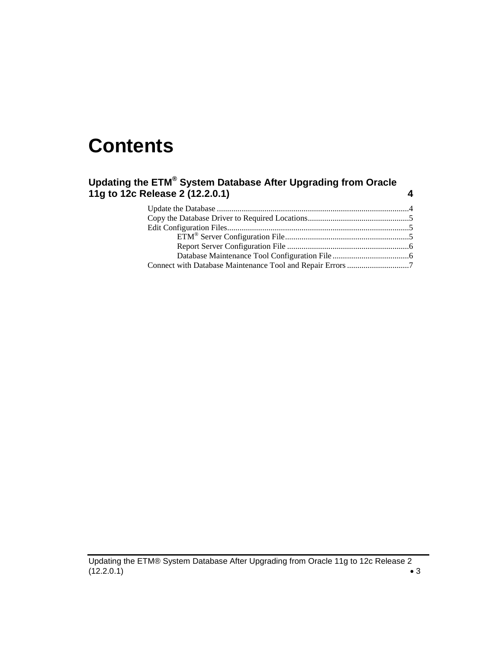# **Contents**

### **Updating the ETM® System Database After Upgrading from Oracle 11g to 12c Release 2 (12.2.0.1) 4**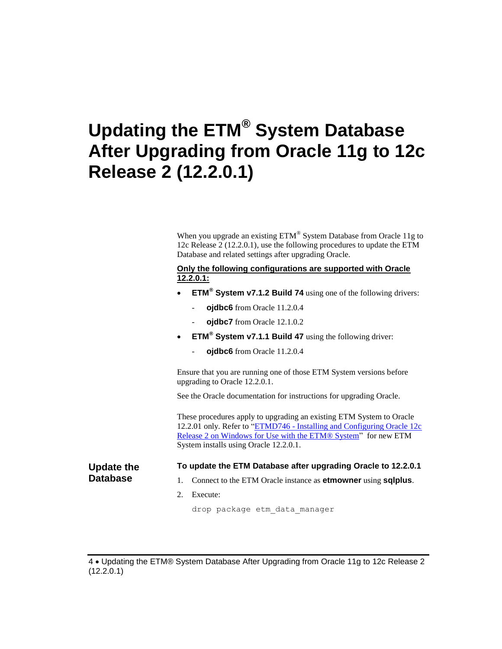## **Updating the ETM® System Database After Upgrading from Oracle 11g to 12c Release 2 (12.2.0.1)**

When you upgrade an existing  $ETM^{\circledast}$  System Database from Oracle 11g to 12c Release 2 (12.2.0.1), use the following procedures to update the ETM Database and related settings after upgrading Oracle.

### **Only the following configurations are supported with Oracle 12.2.0.1:**

- **ETM® System v7.1.2 Build 74** using one of the following drivers:
	- **ojdbc6** from Oracle 11.2.0.4
	- **oidbc7** from Oracle 12.1.0.2
- **ETM® System v7.1.1 Build 47** using the following driver:
	- ojdbc6 from Oracle 11.2.0.4

Ensure that you are running one of those ETM System versions before upgrading to Oracle 12.2.0.1.

See the Oracle documentation for instructions for upgrading Oracle.

These procedures apply to upgrading an existing ETM System to Oracle 12.2.01 only. Refer to "ETMD746 - [Installing and Configuring Oracle 12c](https://support.securelogix.com/article.htm?articleid=ETMD746)  [Release 2 on Windows for Use with the ETM® System"](https://support.securelogix.com/article.htm?articleid=ETMD746) for new ETM System installs using Oracle 12.2.0.1.

| <b>Update the</b> |  |
|-------------------|--|
| <b>Database</b>   |  |

**To update the ETM Database after upgrading Oracle to 12.2.0.1**

- 1. Connect to the ETM Oracle instance as **etmowner** using **sqlplus**.
- 2. Execute:

drop package etm\_data\_manager

4 Updating the ETM® System Database After Upgrading from Oracle 11g to 12c Release 2 (12.2.0.1)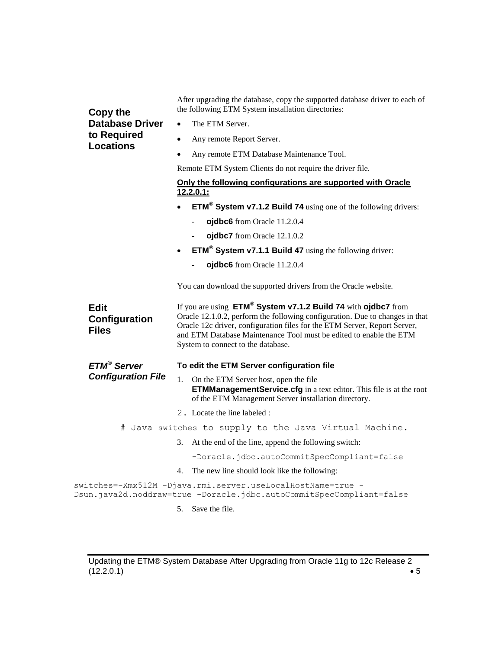| <b>Copy the</b><br><b>Database Driver</b><br>to Required<br><b>Locations</b> | After upgrading the database, copy the supported database driver to each of<br>the following ETM System installation directories:                                                                                                                                                                                                                  |                                                                                                                                                                                |  |  |
|------------------------------------------------------------------------------|----------------------------------------------------------------------------------------------------------------------------------------------------------------------------------------------------------------------------------------------------------------------------------------------------------------------------------------------------|--------------------------------------------------------------------------------------------------------------------------------------------------------------------------------|--|--|
|                                                                              |                                                                                                                                                                                                                                                                                                                                                    | The ETM Server.                                                                                                                                                                |  |  |
|                                                                              | $\bullet$                                                                                                                                                                                                                                                                                                                                          | Any remote Report Server.                                                                                                                                                      |  |  |
|                                                                              | $\bullet$                                                                                                                                                                                                                                                                                                                                          | Any remote ETM Database Maintenance Tool.                                                                                                                                      |  |  |
|                                                                              |                                                                                                                                                                                                                                                                                                                                                    | Remote ETM System Clients do not require the driver file.                                                                                                                      |  |  |
|                                                                              | Only the following configurations are supported with Oracle<br>12.2.0.1:                                                                                                                                                                                                                                                                           |                                                                                                                                                                                |  |  |
|                                                                              |                                                                                                                                                                                                                                                                                                                                                    | $ETM®$ System v7.1.2 Build 74 using one of the following drivers:                                                                                                              |  |  |
|                                                                              |                                                                                                                                                                                                                                                                                                                                                    | ojdbc6 from Oracle 11.2.0.4                                                                                                                                                    |  |  |
|                                                                              |                                                                                                                                                                                                                                                                                                                                                    | ojdbc7 from Oracle 12.1.0.2                                                                                                                                                    |  |  |
|                                                                              |                                                                                                                                                                                                                                                                                                                                                    | <b>ETM<sup>®</sup> System v7.1.1 Build 47</b> using the following driver:                                                                                                      |  |  |
|                                                                              |                                                                                                                                                                                                                                                                                                                                                    | ojdbc6 from Oracle 11.2.0.4                                                                                                                                                    |  |  |
|                                                                              |                                                                                                                                                                                                                                                                                                                                                    | You can download the supported drivers from the Oracle website.                                                                                                                |  |  |
| Edit<br>Configuration<br><b>Files</b>                                        | If you are using ETM <sup>®</sup> System v7.1.2 Build 74 with ojdbc7 from<br>Oracle 12.1.0.2, perform the following configuration. Due to changes in that<br>Oracle 12c driver, configuration files for the ETM Server, Report Server,<br>and ETM Database Maintenance Tool must be edited to enable the ETM<br>System to connect to the database. |                                                                                                                                                                                |  |  |
| ETM <sup>®</sup> Server                                                      |                                                                                                                                                                                                                                                                                                                                                    | To edit the ETM Server configuration file                                                                                                                                      |  |  |
| <b>Configuration File</b>                                                    |                                                                                                                                                                                                                                                                                                                                                    | 1. On the ETM Server host, open the file<br><b>ETMManagementService.cfg</b> in a text editor. This file is at the root<br>of the ETM Management Server installation directory. |  |  |
|                                                                              |                                                                                                                                                                                                                                                                                                                                                    | 2. Locate the line labeled :                                                                                                                                                   |  |  |
|                                                                              |                                                                                                                                                                                                                                                                                                                                                    | # Java switches to supply to the Java Virtual Machine.                                                                                                                         |  |  |
|                                                                              | 3.                                                                                                                                                                                                                                                                                                                                                 | At the end of the line, append the following switch:                                                                                                                           |  |  |
|                                                                              |                                                                                                                                                                                                                                                                                                                                                    | -Doracle.jdbc.autoCommitSpecCompliant=false                                                                                                                                    |  |  |
|                                                                              | 4.                                                                                                                                                                                                                                                                                                                                                 | The new line should look like the following:                                                                                                                                   |  |  |
|                                                                              |                                                                                                                                                                                                                                                                                                                                                    | switches = - Xmx512M - Djava.rmi.server.useLocalHostName = true -<br>Dsun.java2d.noddraw=true -Doracle.jdbc.autoCommitSpecCompliant=false                                      |  |  |
|                                                                              | 5.                                                                                                                                                                                                                                                                                                                                                 | Save the file.                                                                                                                                                                 |  |  |

Updating the ETM® System Database After Upgrading from Oracle 11g to 12c Release 2<br>(12.2.0.1) • 5  $(12.2.0.1)$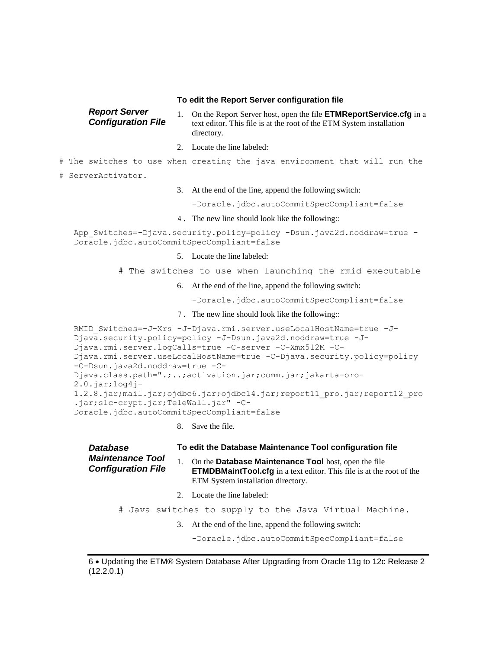### **To edit the Report Server configuration file**

| <b>Report Server</b>      | On the Report Server host, open the file <b>ETMReportService.cfg</b> in a |
|---------------------------|---------------------------------------------------------------------------|
| <b>Configuration File</b> | text editor. This file is at the root of the ETM System installation      |
|                           | directory.                                                                |

- 2. Locate the line labeled:
- # The switches to use when creating the java environment that will run the
- # ServerActivator.
- 3. At the end of the line, append the following switch:

-Doracle.jdbc.autoCommitSpecCompliant=false

4. The new line should look like the following::

```
App Switches=-Djava.security.policy=policy -Dsun.java2d.noddraw=true -
Doracle.jdbc.autoCommitSpecCompliant=false
```
- 5. Locate the line labeled:
- # The switches to use when launching the rmid executable
	- 6. At the end of the line, append the following switch:

-Doracle.jdbc.autoCommitSpecCompliant=false

7. The new line should look like the following::

```
RMID Switches=-J-Xrs -J-Djava.rmi.server.useLocalHostName=true -J-
Djava.security.policy=policy -J-Dsun.java2d.noddraw=true -J-
Djava.rmi.server.logCalls=true -C-server -C-Xmx512M -C-
Djava.rmi.server.useLocalHostName=true -C-Djava.security.policy=policy 
-C-Dsun.java2d.noddraw=true -C-
Djava.class.path=".;..;activation.jar;comm.jar;jakarta-oro-
2.0.jar;log4j-
1.2.8.jar;mail.jar;ojdbc6.jar;ojdbc14.jar;report11_pro.jar;report12_pro
.jar;slc-crypt.jar;TeleWall.jar" -C-
Doracle.jdbc.autoCommitSpecCompliant=false
```
8. Save the file.

| <b>Database</b><br><b>Maintenance Tool</b><br><b>Configuration File</b> |         | To edit the Database Maintenance Tool configuration file                                                                                                                            |  |  |  |
|-------------------------------------------------------------------------|---------|-------------------------------------------------------------------------------------------------------------------------------------------------------------------------------------|--|--|--|
|                                                                         |         | 1. On the <b>Database Maintenance Tool</b> host, open the file<br><b>ETMDBMaintTool.cfg</b> in a text editor. This file is at the root of the<br>ETM System installation directory. |  |  |  |
|                                                                         | $2_{1}$ | Locate the line labeled:                                                                                                                                                            |  |  |  |
| # Java switches to supply to the Java Virtual Machine.                  |         |                                                                                                                                                                                     |  |  |  |
|                                                                         | 3.      | At the end of the line, append the following switch:                                                                                                                                |  |  |  |
|                                                                         |         | -Doracle.jdbc.autoCommitSpecCompliant=false                                                                                                                                         |  |  |  |

<sup>6</sup> Updating the ETM® System Database After Upgrading from Oracle 11g to 12c Release 2 (12.2.0.1)